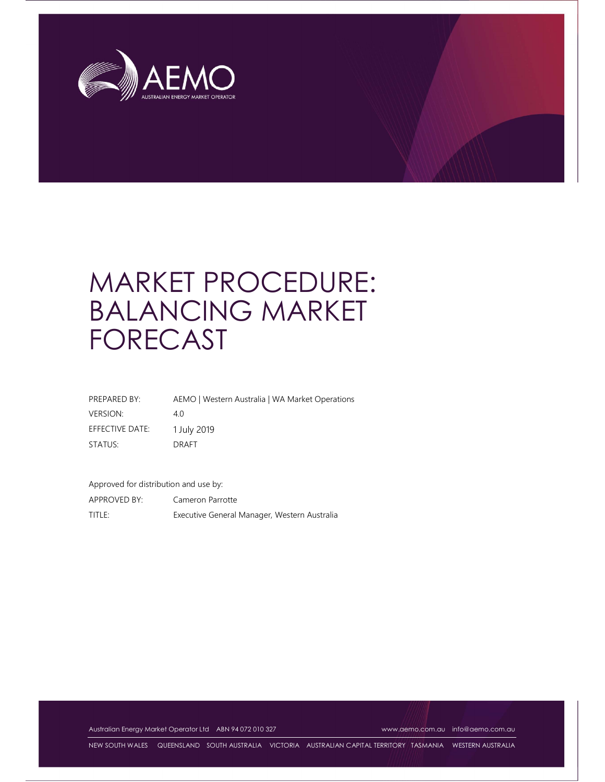

# MARKET PROCEDURE: BALANCING MARKET FORECAST

| PREPARED BY:    | AEMO   Western Australia   WA Market Operations |
|-----------------|-------------------------------------------------|
| <b>VERSION:</b> | 40                                              |
| EFFECTIVE DATE: | 1 July 2019                                     |
| STATUS:         | <b>DRAFT</b>                                    |

Approved for distribution and use by: APPROVED BY: Cameron Parrotte TITLE: Executive General Manager, Western Australia

Australian Energy Market Operator Ltd ABN 94 072 010 327 www.aemo.com.au info@aemo.com.au

NEW SOUTH WALES QUEENSLAND SOUTH AUSTRALIA VICTORIA AUSTRALIAN CAPITAL TERRITORY TASMANIA WESTERN AUSTRALIA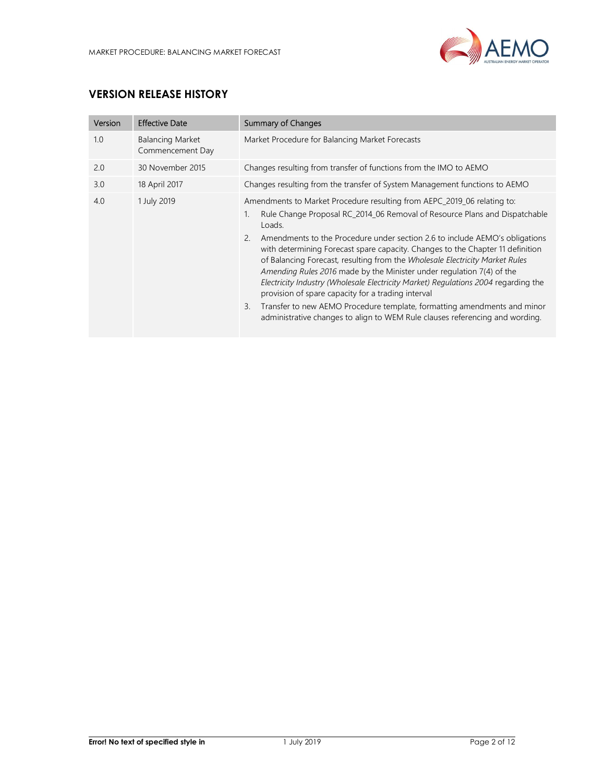

# VERSION RELEASE HISTORY

| Version | <b>Effective Date</b>                       | Summary of Changes                                                                                                                                                                                                                                                                                                                                                                                                                                                                                                                                                                                                                                                                                                                                                                                                        |
|---------|---------------------------------------------|---------------------------------------------------------------------------------------------------------------------------------------------------------------------------------------------------------------------------------------------------------------------------------------------------------------------------------------------------------------------------------------------------------------------------------------------------------------------------------------------------------------------------------------------------------------------------------------------------------------------------------------------------------------------------------------------------------------------------------------------------------------------------------------------------------------------------|
| 1.0     | <b>Balancing Market</b><br>Commencement Day | Market Procedure for Balancing Market Forecasts                                                                                                                                                                                                                                                                                                                                                                                                                                                                                                                                                                                                                                                                                                                                                                           |
| 2.0     | 30 November 2015                            | Changes resulting from transfer of functions from the IMO to AEMO                                                                                                                                                                                                                                                                                                                                                                                                                                                                                                                                                                                                                                                                                                                                                         |
| 3.0     | 18 April 2017                               | Changes resulting from the transfer of System Management functions to AEMO                                                                                                                                                                                                                                                                                                                                                                                                                                                                                                                                                                                                                                                                                                                                                |
| 4.0     | 1 July 2019                                 | Amendments to Market Procedure resulting from AEPC 2019 06 relating to:<br>Rule Change Proposal RC 2014 06 Removal of Resource Plans and Dispatchable<br>Loads.<br>2.<br>Amendments to the Procedure under section 2.6 to include AEMO's obligations<br>with determining Forecast spare capacity. Changes to the Chapter 11 definition<br>of Balancing Forecast, resulting from the Wholesale Electricity Market Rules<br>Amending Rules 2016 made by the Minister under regulation 7(4) of the<br>Electricity Industry (Wholesale Electricity Market) Regulations 2004 regarding the<br>provision of spare capacity for a trading interval<br>$\mathbf{3}$ .<br>Transfer to new AEMO Procedure template, formatting amendments and minor<br>administrative changes to align to WEM Rule clauses referencing and wording. |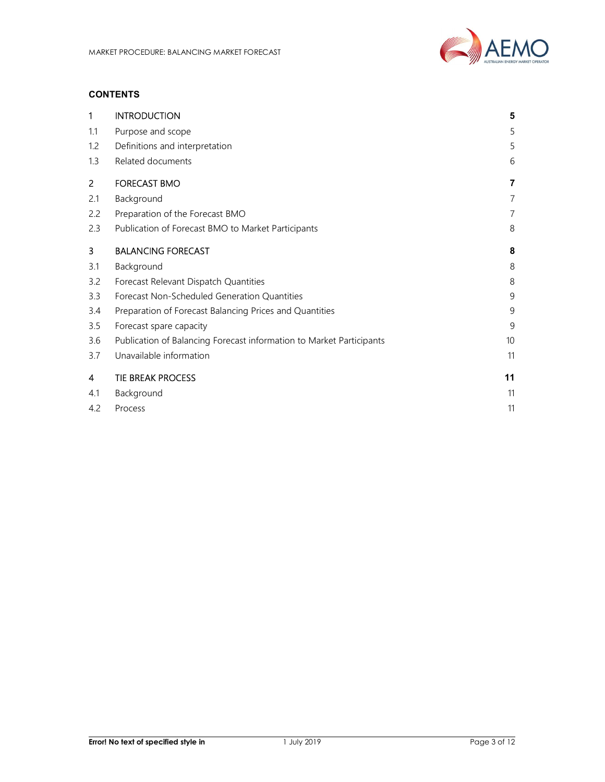

#### **CONTENTS**

| 1   | <b>INTRODUCTION</b>                                                  | 5              |
|-----|----------------------------------------------------------------------|----------------|
| 1.1 | Purpose and scope                                                    | 5              |
| 1.2 | Definitions and interpretation                                       | 5              |
| 1.3 | Related documents                                                    | 6              |
| 2   | <b>FORECAST BMO</b>                                                  | $\overline{7}$ |
| 2.1 | Background                                                           | 7              |
| 2.2 | Preparation of the Forecast BMO                                      | 7              |
| 2.3 | Publication of Forecast BMO to Market Participants                   | 8              |
| 3   | <b>BALANCING FORECAST</b>                                            | 8              |
| 3.1 | Background                                                           | 8              |
| 3.2 | Forecast Relevant Dispatch Quantities                                | 8              |
| 3.3 | Forecast Non-Scheduled Generation Quantities                         | 9              |
| 3.4 | Preparation of Forecast Balancing Prices and Quantities              | 9              |
| 3.5 | Forecast spare capacity                                              | 9              |
| 3.6 | Publication of Balancing Forecast information to Market Participants | 10             |
| 3.7 | Unavailable information                                              | 11             |
| 4   | <b>TIE BREAK PROCESS</b>                                             | 11             |
| 4.1 | Background                                                           | 11             |
| 4.2 | Process                                                              | 11             |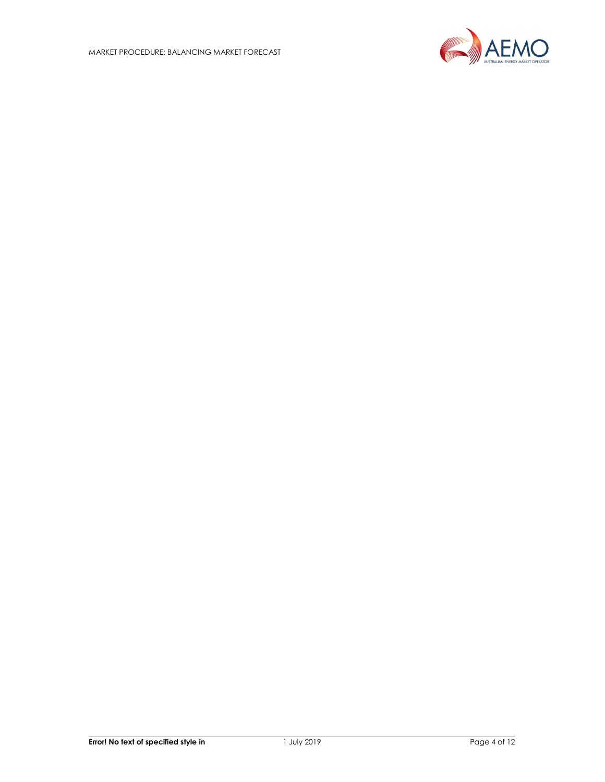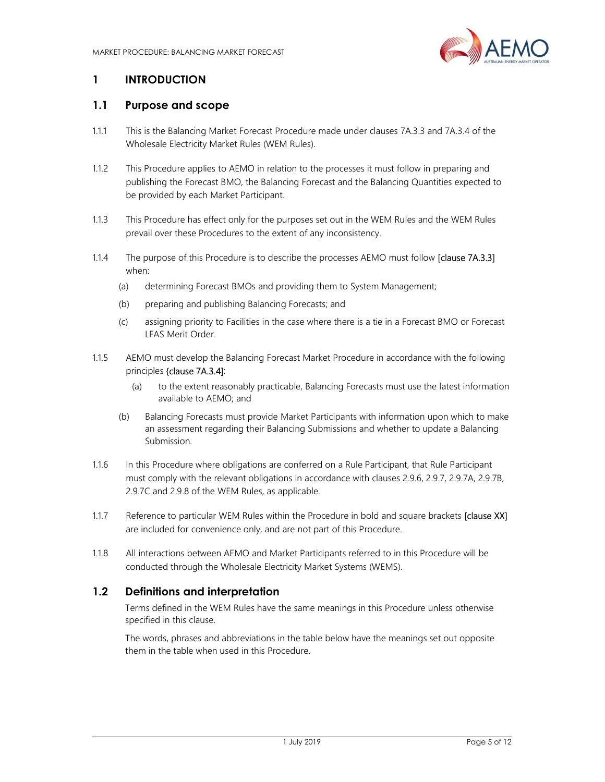

# 1 INTRODUCTION

# 1.1 Purpose and scope

- 1.1.1 This is the Balancing Market Forecast Procedure made under clauses 7A.3.3 and 7A.3.4 of the Wholesale Electricity Market Rules (WEM Rules).
- 1.1.2 This Procedure applies to AEMO in relation to the processes it must follow in preparing and publishing the Forecast BMO, the Balancing Forecast and the Balancing Quantities expected to be provided by each Market Participant.
- 1.1.3 This Procedure has effect only for the purposes set out in the WEM Rules and the WEM Rules prevail over these Procedures to the extent of any inconsistency.
- 1.1.4 The purpose of this Procedure is to describe the processes AEMO must follow **[clause 7A.3.3]** when:
	- (a) determining Forecast BMOs and providing them to System Management;
	- (b) preparing and publishing Balancing Forecasts; and
	- (c) assigning priority to Facilities in the case where there is a tie in a Forecast BMO or Forecast LFAS Merit Order.
- 1.1.5 AEMO must develop the Balancing Forecast Market Procedure in accordance with the following principles {clause 7A.3.4]:
	- (a) to the extent reasonably practicable, Balancing Forecasts must use the latest information available to AEMO; and
	- (b) Balancing Forecasts must provide Market Participants with information upon which to make an assessment regarding their Balancing Submissions and whether to update a Balancing Submission.
- 1.1.6 In this Procedure where obligations are conferred on a Rule Participant, that Rule Participant must comply with the relevant obligations in accordance with clauses 2.9.6, 2.9.7, 2.9.7A, 2.9.7B, 2.9.7C and 2.9.8 of the WEM Rules, as applicable.
- 1.1.7 Reference to particular WEM Rules within the Procedure in bold and square brackets [clause XX] are included for convenience only, and are not part of this Procedure.
- 1.1.8 All interactions between AEMO and Market Participants referred to in this Procedure will be conducted through the Wholesale Electricity Market Systems (WEMS).

## 1.2 Definitions and interpretation

Terms defined in the WEM Rules have the same meanings in this Procedure unless otherwise specified in this clause.

The words, phrases and abbreviations in the table below have the meanings set out opposite them in the table when used in this Procedure.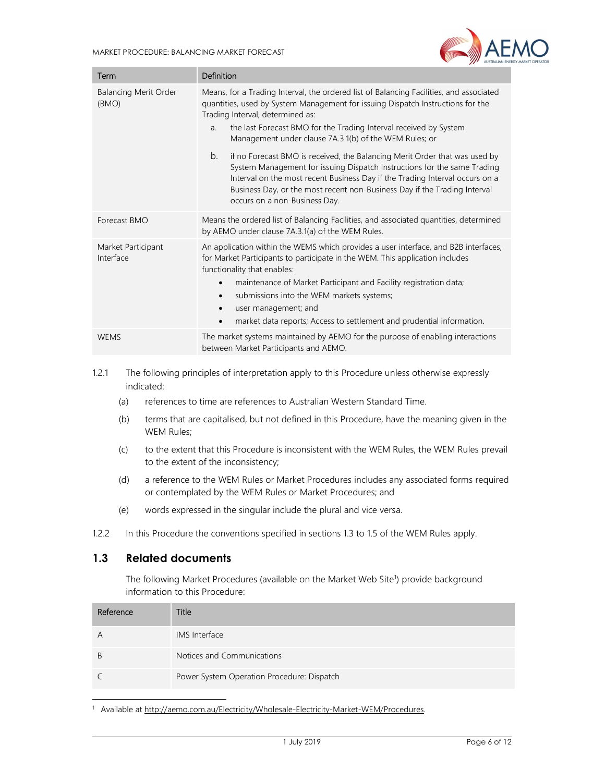#### MARKET PROCEDURE: BALANCING MARKET FORECAST



| Term                                  | Definition                                                                                                                                                                                                                                                                                                                                                                                                                                                                                                                                                                                                                                                                                                        |  |
|---------------------------------------|-------------------------------------------------------------------------------------------------------------------------------------------------------------------------------------------------------------------------------------------------------------------------------------------------------------------------------------------------------------------------------------------------------------------------------------------------------------------------------------------------------------------------------------------------------------------------------------------------------------------------------------------------------------------------------------------------------------------|--|
| <b>Balancing Merit Order</b><br>(BMO) | Means, for a Trading Interval, the ordered list of Balancing Facilities, and associated<br>quantities, used by System Management for issuing Dispatch Instructions for the<br>Trading Interval, determined as:<br>the last Forecast BMO for the Trading Interval received by System<br>a.<br>Management under clause 7A.3.1(b) of the WEM Rules; or<br>b.<br>if no Forecast BMO is received, the Balancing Merit Order that was used by<br>System Management for issuing Dispatch Instructions for the same Trading<br>Interval on the most recent Business Day if the Trading Interval occurs on a<br>Business Day, or the most recent non-Business Day if the Trading Interval<br>occurs on a non-Business Day. |  |
| Forecast BMO                          | Means the ordered list of Balancing Facilities, and associated quantities, determined<br>by AEMO under clause 7A.3.1(a) of the WEM Rules.                                                                                                                                                                                                                                                                                                                                                                                                                                                                                                                                                                         |  |
| Market Participant<br>Interface       | An application within the WEMS which provides a user interface, and B2B interfaces,<br>for Market Participants to participate in the WEM. This application includes<br>functionality that enables:<br>maintenance of Market Participant and Facility registration data;<br>$\bullet$<br>submissions into the WEM markets systems;<br>$\bullet$<br>user management; and<br>$\bullet$<br>market data reports; Access to settlement and prudential information.<br>$\bullet$                                                                                                                                                                                                                                         |  |
| <b>WEMS</b>                           | The market systems maintained by AEMO for the purpose of enabling interactions<br>between Market Participants and AEMO.                                                                                                                                                                                                                                                                                                                                                                                                                                                                                                                                                                                           |  |

- 1.2.1 The following principles of interpretation apply to this Procedure unless otherwise expressly indicated:
	- (a) references to time are references to Australian Western Standard Time.
	- (b) terms that are capitalised, but not defined in this Procedure, have the meaning given in the WEM Rules;
	- (c) to the extent that this Procedure is inconsistent with the WEM Rules, the WEM Rules prevail to the extent of the inconsistency;
	- (d) a reference to the WEM Rules or Market Procedures includes any associated forms required or contemplated by the WEM Rules or Market Procedures; and
	- (e) words expressed in the singular include the plural and vice versa.
- 1.2.2 In this Procedure the conventions specified in sections 1.3 to 1.5 of the WEM Rules apply.

### 1.3 Related documents

-

The following Market Procedures (available on the Market Web Site<sup>1</sup>) provide background information to this Procedure:

| Reference | <b>Title</b>                               |
|-----------|--------------------------------------------|
| A         | <b>IMS</b> Interface                       |
| B         | Notices and Communications                 |
|           | Power System Operation Procedure: Dispatch |

<sup>1</sup> Available at http://aemo.com.au/Electricity/Wholesale-Electricity-Market-WEM/Procedures.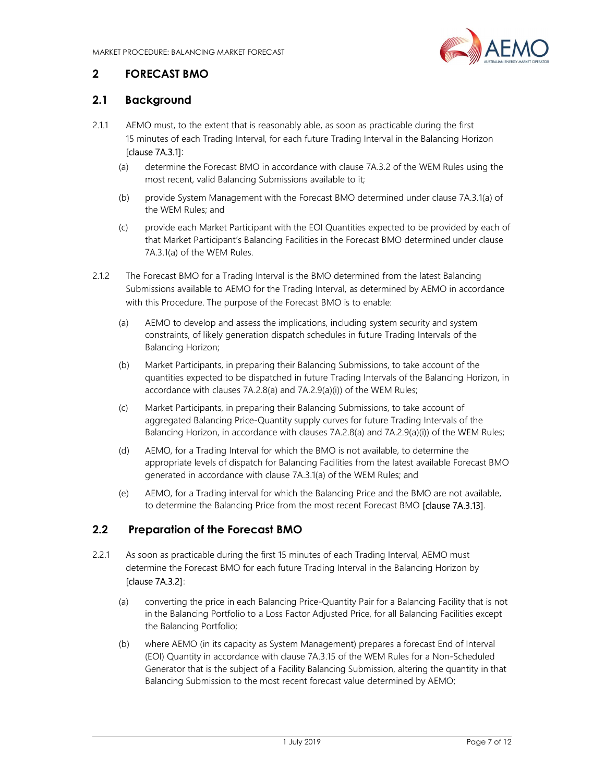

# 2 FORECAST BMO

# 2.1 Background

- 2.1.1 AEMO must, to the extent that is reasonably able, as soon as practicable during the first 15 minutes of each Trading Interval, for each future Trading Interval in the Balancing Horizon [clause 7A.3.1]:
	- (a) determine the Forecast BMO in accordance with clause 7A.3.2 of the WEM Rules using the most recent, valid Balancing Submissions available to it;
	- (b) provide System Management with the Forecast BMO determined under clause 7A.3.1(a) of the WEM Rules; and
	- (c) provide each Market Participant with the EOI Quantities expected to be provided by each of that Market Participant's Balancing Facilities in the Forecast BMO determined under clause 7A.3.1(a) of the WEM Rules.
- 2.1.2 The Forecast BMO for a Trading Interval is the BMO determined from the latest Balancing Submissions available to AEMO for the Trading Interval, as determined by AEMO in accordance with this Procedure. The purpose of the Forecast BMO is to enable:
	- (a) AEMO to develop and assess the implications, including system security and system constraints, of likely generation dispatch schedules in future Trading Intervals of the Balancing Horizon;
	- (b) Market Participants, in preparing their Balancing Submissions, to take account of the quantities expected to be dispatched in future Trading Intervals of the Balancing Horizon, in accordance with clauses 7A.2.8(a) and 7A.2.9(a)(i)) of the WEM Rules;
	- (c) Market Participants, in preparing their Balancing Submissions, to take account of aggregated Balancing Price-Quantity supply curves for future Trading Intervals of the Balancing Horizon, in accordance with clauses 7A.2.8(a) and 7A.2.9(a)(i)) of the WEM Rules;
	- (d) AEMO, for a Trading Interval for which the BMO is not available, to determine the appropriate levels of dispatch for Balancing Facilities from the latest available Forecast BMO generated in accordance with clause 7A.3.1(a) of the WEM Rules; and
	- (e) AEMO, for a Trading interval for which the Balancing Price and the BMO are not available, to determine the Balancing Price from the most recent Forecast BMO [clause 7A.3.13].

# 2.2 Preparation of the Forecast BMO

- 2.2.1 As soon as practicable during the first 15 minutes of each Trading Interval, AEMO must determine the Forecast BMO for each future Trading Interval in the Balancing Horizon by [clause 7A.3.2]:
	- (a) converting the price in each Balancing Price-Quantity Pair for a Balancing Facility that is not in the Balancing Portfolio to a Loss Factor Adjusted Price, for all Balancing Facilities except the Balancing Portfolio;
	- (b) where AEMO (in its capacity as System Management) prepares a forecast End of Interval (EOI) Quantity in accordance with clause 7A.3.15 of the WEM Rules for a Non-Scheduled Generator that is the subject of a Facility Balancing Submission, altering the quantity in that Balancing Submission to the most recent forecast value determined by AEMO;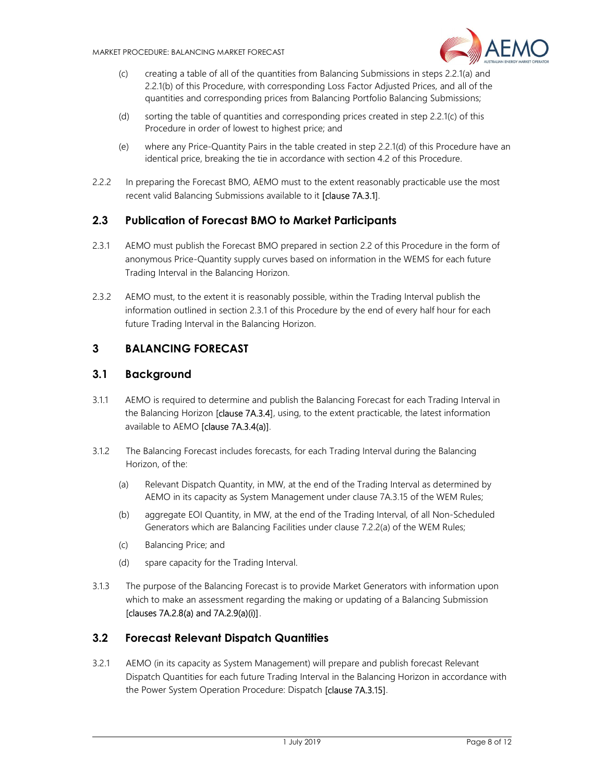

- (c) creating a table of all of the quantities from Balancing Submissions in steps 2.2.1(a) and 2.2.1(b) of this Procedure, with corresponding Loss Factor Adjusted Prices, and all of the quantities and corresponding prices from Balancing Portfolio Balancing Submissions;
- (d) sorting the table of quantities and corresponding prices created in step 2.2.1(c) of this Procedure in order of lowest to highest price; and
- (e) where any Price-Quantity Pairs in the table created in step 2.2.1(d) of this Procedure have an identical price, breaking the tie in accordance with section 4.2 of this Procedure.
- 2.2.2 In preparing the Forecast BMO, AEMO must to the extent reasonably practicable use the most recent valid Balancing Submissions available to it [clause 7A.3.1].

# 2.3 Publication of Forecast BMO to Market Participants

- 2.3.1 AEMO must publish the Forecast BMO prepared in section 2.2 of this Procedure in the form of anonymous Price-Quantity supply curves based on information in the WEMS for each future Trading Interval in the Balancing Horizon.
- 2.3.2 AEMO must, to the extent it is reasonably possible, within the Trading Interval publish the information outlined in section 2.3.1 of this Procedure by the end of every half hour for each future Trading Interval in the Balancing Horizon.

# 3 BALANCING FORECAST

# 3.1 Background

- 3.1.1 AEMO is required to determine and publish the Balancing Forecast for each Trading Interval in the Balancing Horizon [clause 7A.3.4], using, to the extent practicable, the latest information available to AEMO [clause 7A.3.4(a)].
- 3.1.2 The Balancing Forecast includes forecasts, for each Trading Interval during the Balancing Horizon, of the:
	- (a) Relevant Dispatch Quantity, in MW, at the end of the Trading Interval as determined by AEMO in its capacity as System Management under clause 7A.3.15 of the WEM Rules;
	- (b) aggregate EOI Quantity, in MW, at the end of the Trading Interval, of all Non-Scheduled Generators which are Balancing Facilities under clause 7.2.2(a) of the WEM Rules;
	- (c) Balancing Price; and
	- (d) spare capacity for the Trading Interval.
- 3.1.3 The purpose of the Balancing Forecast is to provide Market Generators with information upon which to make an assessment regarding the making or updating of a Balancing Submission [clauses 7A.2.8(a) and 7A.2.9(a)(i)].

# 3.2 Forecast Relevant Dispatch Quantities

3.2.1 AEMO (in its capacity as System Management) will prepare and publish forecast Relevant Dispatch Quantities for each future Trading Interval in the Balancing Horizon in accordance with the Power System Operation Procedure: Dispatch [clause 7A.3.15].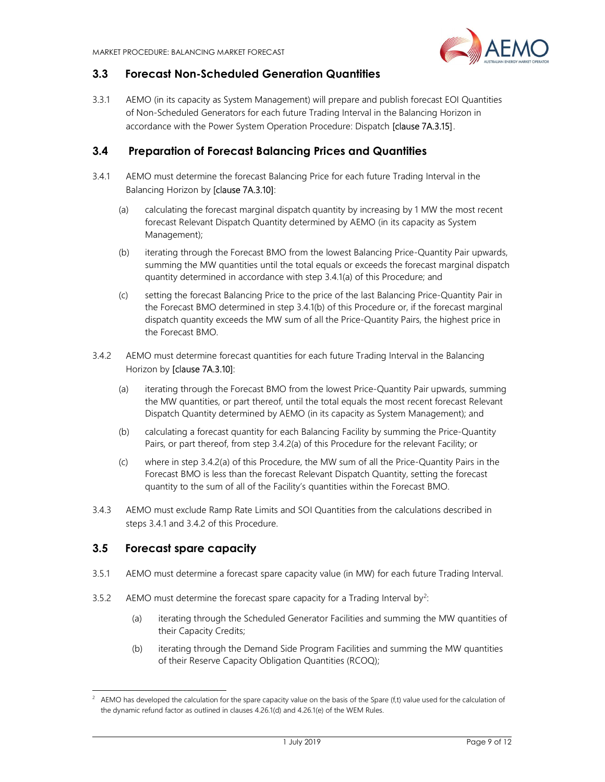

# 3.3 Forecast Non-Scheduled Generation Quantities

3.3.1 AEMO (in its capacity as System Management) will prepare and publish forecast EOI Quantities of Non-Scheduled Generators for each future Trading Interval in the Balancing Horizon in accordance with the Power System Operation Procedure: Dispatch [clause 7A.3.15].

# 3.4 Preparation of Forecast Balancing Prices and Quantities

- 3.4.1 AEMO must determine the forecast Balancing Price for each future Trading Interval in the Balancing Horizon by [clause 7A.3.10]:
	- (a) calculating the forecast marginal dispatch quantity by increasing by 1 MW the most recent forecast Relevant Dispatch Quantity determined by AEMO (in its capacity as System Management);
	- (b) iterating through the Forecast BMO from the lowest Balancing Price-Quantity Pair upwards, summing the MW quantities until the total equals or exceeds the forecast marginal dispatch quantity determined in accordance with step 3.4.1(a) of this Procedure; and
	- (c) setting the forecast Balancing Price to the price of the last Balancing Price-Quantity Pair in the Forecast BMO determined in step 3.4.1(b) of this Procedure or, if the forecast marginal dispatch quantity exceeds the MW sum of all the Price-Quantity Pairs, the highest price in the Forecast BMO.
- 3.4.2 AEMO must determine forecast quantities for each future Trading Interval in the Balancing Horizon by [clause 7A.3.10]:
	- (a) iterating through the Forecast BMO from the lowest Price-Quantity Pair upwards, summing the MW quantities, or part thereof, until the total equals the most recent forecast Relevant Dispatch Quantity determined by AEMO (in its capacity as System Management); and
	- (b) calculating a forecast quantity for each Balancing Facility by summing the Price-Quantity Pairs, or part thereof, from step 3.4.2(a) of this Procedure for the relevant Facility; or
	- (c) where in step 3.4.2(a) of this Procedure, the MW sum of all the Price-Quantity Pairs in the Forecast BMO is less than the forecast Relevant Dispatch Quantity, setting the forecast quantity to the sum of all of the Facility's quantities within the Forecast BMO.
- 3.4.3 AEMO must exclude Ramp Rate Limits and SOI Quantities from the calculations described in steps 3.4.1 and 3.4.2 of this Procedure.

# 3.5 Forecast spare capacity

-

- 3.5.1 AEMO must determine a forecast spare capacity value (in MW) for each future Trading Interval.
- 3.5.2 AEMO must determine the forecast spare capacity for a Trading Interval by<sup>2</sup>:
	- (a) iterating through the Scheduled Generator Facilities and summing the MW quantities of their Capacity Credits;
	- (b) iterating through the Demand Side Program Facilities and summing the MW quantities of their Reserve Capacity Obligation Quantities (RCOQ);

<sup>2</sup> AEMO has developed the calculation for the spare capacity value on the basis of the Spare (f,t) value used for the calculation of the dynamic refund factor as outlined in clauses 4.26.1(d) and 4.26.1(e) of the WEM Rules.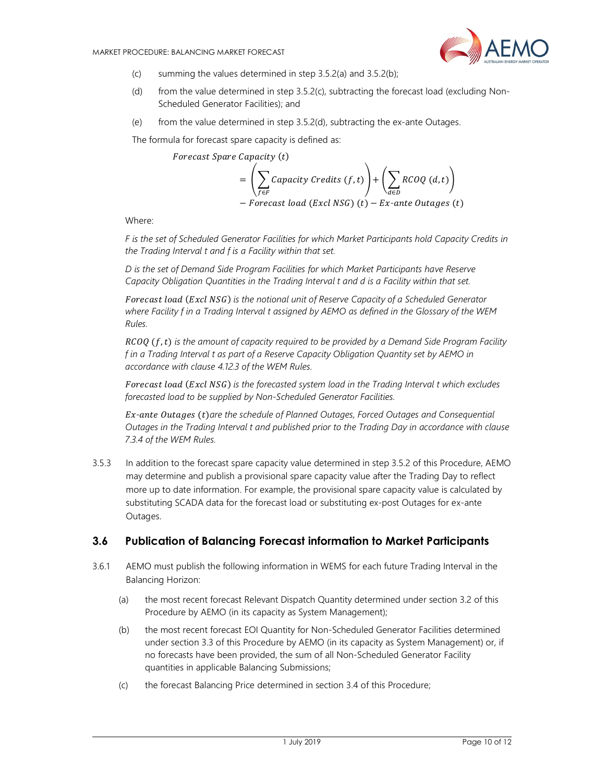

- (c) summing the values determined in step 3.5.2(a) and 3.5.2(b);
- (d) from the value determined in step 3.5.2(c), subtracting the forecast load (excluding Non-Scheduled Generator Facilities); and
- (e) from the value determined in step 3.5.2(d), subtracting the ex-ante Outages.

The formula for forecast spare capacity is defined as:

Forecast Spare Capacity (t)

$$
= \left(\sum_{f \in F} Capacity\; Credits\; (f, t)\right) + \left(\sum_{d \in D} RCOQ\; (d, t)\right)
$$

$$
- Forecast\; load\; (Excl\; NSG)\; (t) - Ex-ante\; Outages\; (t)
$$

Where:

F is the set of Scheduled Generator Facilities for which Market Participants hold Capacity Credits in the Trading Interval t and f is a Facility within that set.

D is the set of Demand Side Program Facilities for which Market Participants have Reserve Capacity Obligation Quantities in the Trading Interval t and d is a Facility within that set.

Forecast load (Excl NSG) is the notional unit of Reserve Capacity of a Scheduled Generator where Facility f in a Trading Interval t assigned by AEMO as defined in the Glossary of the WEM Rules.

 $RCOQ$  (f, t) is the amount of capacity required to be provided by a Demand Side Program Facility f in a Trading Interval t as part of a Reserve Capacity Obligation Quantity set by AEMO in accordance with clause 4.12.3 of the WEM Rules.

Forecast load (Excl NSG) is the forecasted system load in the Trading Interval t which excludes forecasted load to be supplied by Non-Scheduled Generator Facilities.

Ex-ante Outages (t)are the schedule of Planned Outages, Forced Outages and Consequential Outages in the Trading Interval t and published prior to the Trading Day in accordance with clause 7.3.4 of the WEM Rules.

3.5.3 In addition to the forecast spare capacity value determined in step 3.5.2 of this Procedure, AEMO may determine and publish a provisional spare capacity value after the Trading Day to reflect more up to date information. For example, the provisional spare capacity value is calculated by substituting SCADA data for the forecast load or substituting ex-post Outages for ex-ante Outages.

# 3.6 Publication of Balancing Forecast information to Market Participants

- 3.6.1 AEMO must publish the following information in WEMS for each future Trading Interval in the Balancing Horizon:
	- (a) the most recent forecast Relevant Dispatch Quantity determined under section 3.2 of this Procedure by AEMO (in its capacity as System Management);
	- (b) the most recent forecast EOI Quantity for Non-Scheduled Generator Facilities determined under section 3.3 of this Procedure by AEMO (in its capacity as System Management) or, if no forecasts have been provided, the sum of all Non-Scheduled Generator Facility quantities in applicable Balancing Submissions;
	- (c) the forecast Balancing Price determined in section 3.4 of this Procedure;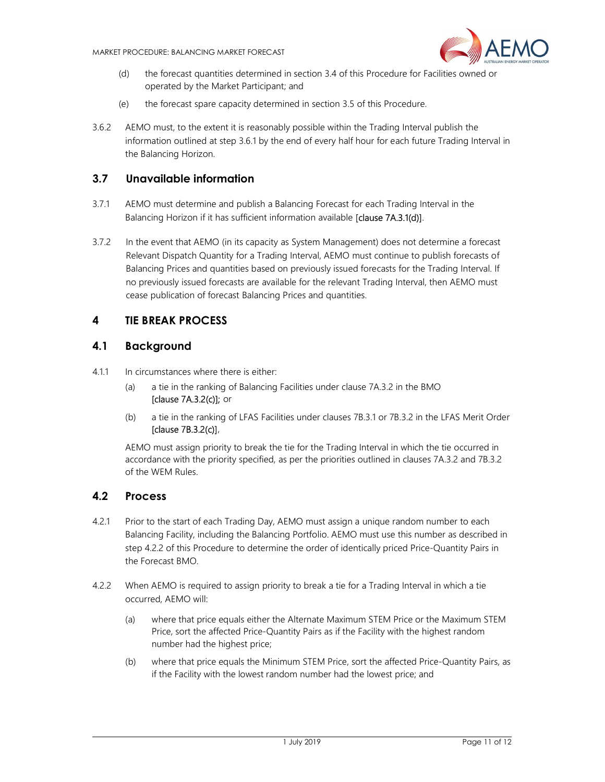

- (d) the forecast quantities determined in section 3.4 of this Procedure for Facilities owned or operated by the Market Participant; and
- (e) the forecast spare capacity determined in section 3.5 of this Procedure.
- 3.6.2 AEMO must, to the extent it is reasonably possible within the Trading Interval publish the information outlined at step 3.6.1 by the end of every half hour for each future Trading Interval in the Balancing Horizon.

# 3.7 Unavailable information

- 3.7.1 AEMO must determine and publish a Balancing Forecast for each Trading Interval in the Balancing Horizon if it has sufficient information available [clause 7A.3.1(d)].
- 3.7.2 In the event that AEMO (in its capacity as System Management) does not determine a forecast Relevant Dispatch Quantity for a Trading Interval, AEMO must continue to publish forecasts of Balancing Prices and quantities based on previously issued forecasts for the Trading Interval. If no previously issued forecasts are available for the relevant Trading Interval, then AEMO must cease publication of forecast Balancing Prices and quantities.

# 4 TIE BREAK PROCESS

# 4.1 Background

- 4.1.1 In circumstances where there is either:
	- (a) a tie in the ranking of Balancing Facilities under clause 7A.3.2 in the BMO [clause 7A.3.2(c)]; or
	- (b) a tie in the ranking of LFAS Facilities under clauses 7B.3.1 or 7B.3.2 in the LFAS Merit Order [clause 7B.3.2(c)],

AEMO must assign priority to break the tie for the Trading Interval in which the tie occurred in accordance with the priority specified, as per the priorities outlined in clauses 7A.3.2 and 7B.3.2 of the WEM Rules.

# 4.2 Process

- 4.2.1 Prior to the start of each Trading Day, AEMO must assign a unique random number to each Balancing Facility, including the Balancing Portfolio. AEMO must use this number as described in step 4.2.2 of this Procedure to determine the order of identically priced Price-Quantity Pairs in the Forecast BMO.
- 4.2.2 When AEMO is required to assign priority to break a tie for a Trading Interval in which a tie occurred, AEMO will:
	- (a) where that price equals either the Alternate Maximum STEM Price or the Maximum STEM Price, sort the affected Price-Quantity Pairs as if the Facility with the highest random number had the highest price;
	- (b) where that price equals the Minimum STEM Price, sort the affected Price-Quantity Pairs, as if the Facility with the lowest random number had the lowest price; and